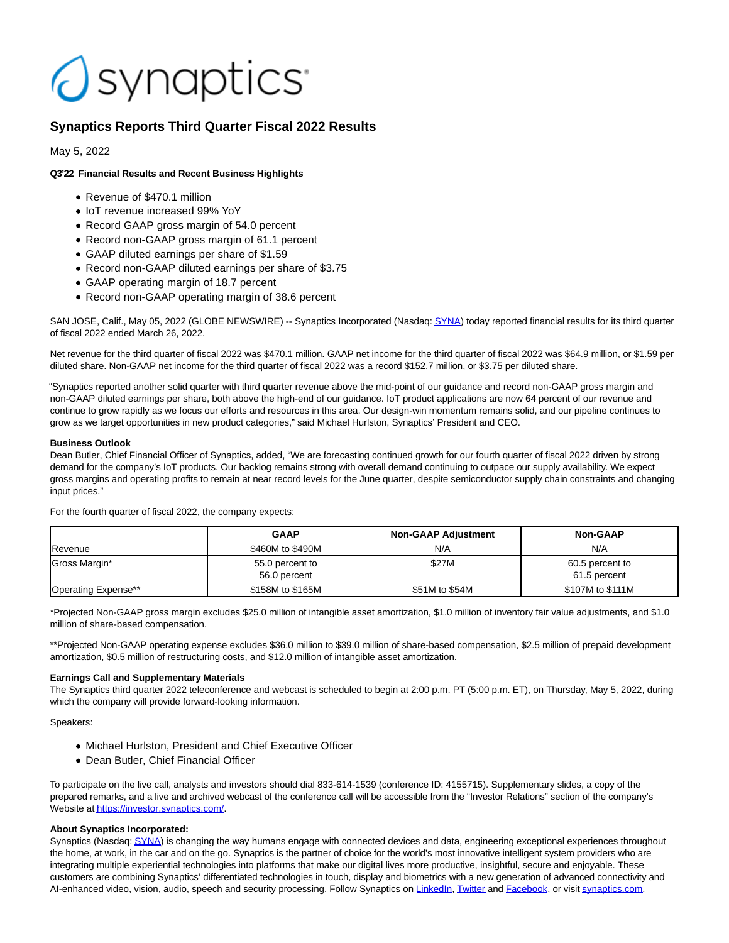# *a* synaptics<sup>®</sup>

## **Synaptics Reports Third Quarter Fiscal 2022 Results**

May 5, 2022

### **Q3'22 Financial Results and Recent Business Highlights**

- Revenue of \$470.1 million
- IoT revenue increased 99% YoY
- Record GAAP gross margin of 54.0 percent
- Record non-GAAP gross margin of 61.1 percent
- GAAP diluted earnings per share of \$1.59
- Record non-GAAP diluted earnings per share of \$3.75
- GAAP operating margin of 18.7 percent
- Record non-GAAP operating margin of 38.6 percent

SAN JOSE, Calif., May 05, 2022 (GLOBE NEWSWIRE) -- Synaptics Incorporated (Nasdaq[: SYNA\)](https://www.globenewswire.com/Tracker?data=U2z-S5_9P86k5_sStCmpeyXN26ITMubWdeosCg-3vbOuULf04AIFGrMUJGKHaV0DFzP92S0bDFbkMJLMMgsbmw==) today reported financial results for its third quarter of fiscal 2022 ended March 26, 2022.

Net revenue for the third quarter of fiscal 2022 was \$470.1 million. GAAP net income for the third quarter of fiscal 2022 was \$64.9 million, or \$1.59 per diluted share. Non-GAAP net income for the third quarter of fiscal 2022 was a record \$152.7 million, or \$3.75 per diluted share.

"Synaptics reported another solid quarter with third quarter revenue above the mid-point of our guidance and record non-GAAP gross margin and non-GAAP diluted earnings per share, both above the high-end of our guidance. IoT product applications are now 64 percent of our revenue and continue to grow rapidly as we focus our efforts and resources in this area. Our design-win momentum remains solid, and our pipeline continues to grow as we target opportunities in new product categories," said Michael Hurlston, Synaptics' President and CEO.

#### **Business Outlook**

Dean Butler, Chief Financial Officer of Synaptics, added, "We are forecasting continued growth for our fourth quarter of fiscal 2022 driven by strong demand for the company's IoT products. Our backlog remains strong with overall demand continuing to outpace our supply availability. We expect gross margins and operating profits to remain at near record levels for the June quarter, despite semiconductor supply chain constraints and changing input prices."

|                     | <b>GAAP</b>                     | <b>Non-GAAP Adiustment</b> | <b>Non-GAAP</b>                 |
|---------------------|---------------------------------|----------------------------|---------------------------------|
| Revenue             | \$460M to \$490M                | N/A                        | N/A                             |
| Gross Margin*       | 55.0 percent to<br>56.0 percent | \$27M                      | 60.5 percent to<br>61.5 percent |
| Operating Expense** | \$158M to \$165M                | \$51M to \$54M             | \$107M to \$111M                |

For the fourth quarter of fiscal 2022, the company expects:

\*Projected Non-GAAP gross margin excludes \$25.0 million of intangible asset amortization, \$1.0 million of inventory fair value adjustments, and \$1.0 million of share-based compensation.

\*\*Projected Non-GAAP operating expense excludes \$36.0 million to \$39.0 million of share-based compensation, \$2.5 million of prepaid development amortization, \$0.5 million of restructuring costs, and \$12.0 million of intangible asset amortization.

#### **Earnings Call and Supplementary Materials**

The Synaptics third quarter 2022 teleconference and webcast is scheduled to begin at 2:00 p.m. PT (5:00 p.m. ET), on Thursday, May 5, 2022, during which the company will provide forward-looking information.

Speakers:

- Michael Hurlston, President and Chief Executive Officer
- Dean Butler, Chief Financial Officer

To participate on the live call, analysts and investors should dial 833-614-1539 (conference ID: 4155715). Supplementary slides, a copy of the prepared remarks, and a live and archived webcast of the conference call will be accessible from the "Investor Relations" section of the company's Website a[t https://investor.synaptics.com/.](https://www.globenewswire.com/Tracker?data=XvS24y3JufxpUBXM1rVB8Jda43tcw4SK7ipmsjbcCBx3rfZ-evWL_wC_h1hWZuArfLcPeGKHmh1e-r_Td4TZCp2LQeV5qRpRfM3xGhlW0Uom90QXzfV6TX7Fd6H8_rrp)

#### **About Synaptics Incorporated:**

Synaptics (Nasdaq[: SYNA\)](https://www.globenewswire.com/Tracker?data=g8YNdqt0prJevPzvzgUtTg9Az50PhC27jeGQmr_ByJJSMSKXg3THaqXTmY_UMSFmBg8NiMvHfZ_OPSzWCrP3lA==) is changing the way humans engage with connected devices and data, engineering exceptional experiences throughout the home, at work, in the car and on the go. Synaptics is the partner of choice for the world's most innovative intelligent system providers who are integrating multiple experiential technologies into platforms that make our digital lives more productive, insightful, secure and enjoyable. These customers are combining Synaptics' differentiated technologies in touch, display and biometrics with a new generation of advanced connectivity and AI-enhanced video, vision, audio, speech and security processing. Follow Synaptics on [LinkedIn,](https://www.globenewswire.com/Tracker?data=OKwsDHiruOly28QsweK71Wb8y9GfKM-wS8tYao4HwLTKt-PkOjhLQnp1NKpie4UBQMtAiNhlHlp_SB75VaCupWXtbivaT8aXaEDnlW98hAA=) [Twitter a](https://www.globenewswire.com/Tracker?data=re8iqRS1JId2WluoxPMh49n3CaIABC7o6L1ERXnjVMjzyLwZEMFhDxfUjIKvwmGugPtVE9RYEF0Rt2GhOxmtVg==)nd [Facebook,](https://www.globenewswire.com/Tracker?data=ulZPJk6u7eTatI858BJXmzi7LHzhTwvAKunukLXSu4LWDSgt8NtwKLPJxD4YYsJmpuN2DOZsAcdcU4Ch7p0YuVgYg-4X0XUoprCqIHmc6nM=) or visi[t synaptics.com.](https://www.globenewswire.com/Tracker?data=bq2_dFE6sXiEmubboH-1Bwe7KlID5ZHzt_5TzhGR-0lnA8eVZBb-4Y-Cwm_DJ08TiUm0vl-Uz4WD6e-GSZdYGw==)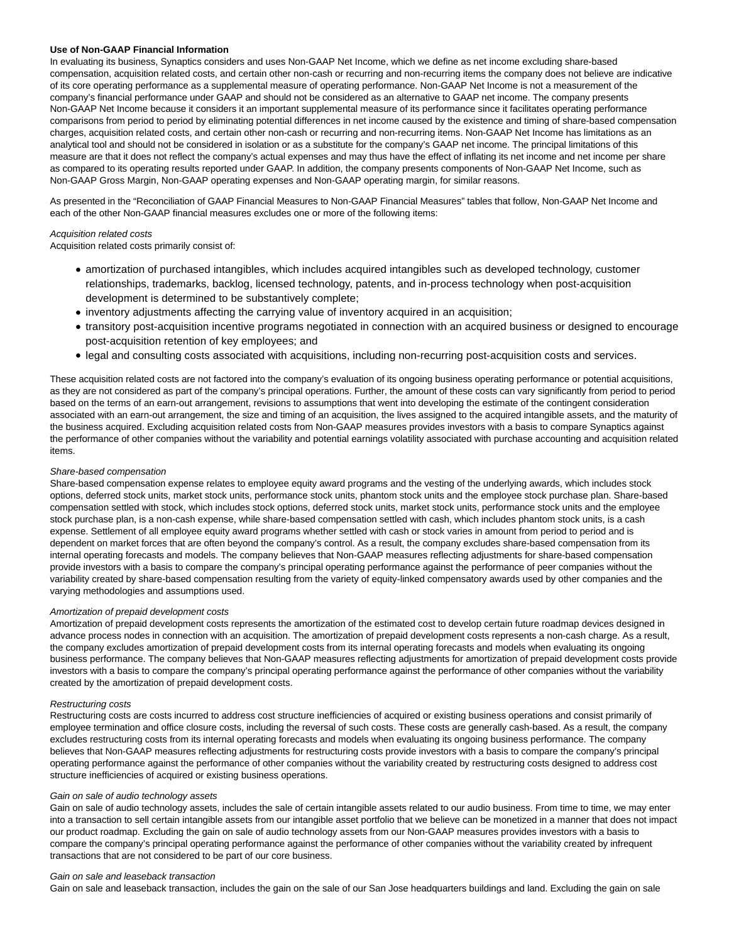#### **Use of Non-GAAP Financial Information**

In evaluating its business, Synaptics considers and uses Non-GAAP Net Income, which we define as net income excluding share-based compensation, acquisition related costs, and certain other non-cash or recurring and non-recurring items the company does not believe are indicative of its core operating performance as a supplemental measure of operating performance. Non-GAAP Net Income is not a measurement of the company's financial performance under GAAP and should not be considered as an alternative to GAAP net income. The company presents Non-GAAP Net Income because it considers it an important supplemental measure of its performance since it facilitates operating performance comparisons from period to period by eliminating potential differences in net income caused by the existence and timing of share-based compensation charges, acquisition related costs, and certain other non-cash or recurring and non-recurring items. Non-GAAP Net Income has limitations as an analytical tool and should not be considered in isolation or as a substitute for the company's GAAP net income. The principal limitations of this measure are that it does not reflect the company's actual expenses and may thus have the effect of inflating its net income and net income per share as compared to its operating results reported under GAAP. In addition, the company presents components of Non-GAAP Net Income, such as Non-GAAP Gross Margin, Non-GAAP operating expenses and Non-GAAP operating margin, for similar reasons.

As presented in the "Reconciliation of GAAP Financial Measures to Non-GAAP Financial Measures" tables that follow, Non-GAAP Net Income and each of the other Non-GAAP financial measures excludes one or more of the following items:

#### Acquisition related costs

Acquisition related costs primarily consist of:

- amortization of purchased intangibles, which includes acquired intangibles such as developed technology, customer relationships, trademarks, backlog, licensed technology, patents, and in-process technology when post-acquisition development is determined to be substantively complete;
- inventory adjustments affecting the carrying value of inventory acquired in an acquisition;
- transitory post-acquisition incentive programs negotiated in connection with an acquired business or designed to encourage post-acquisition retention of key employees; and
- legal and consulting costs associated with acquisitions, including non-recurring post-acquisition costs and services.

These acquisition related costs are not factored into the company's evaluation of its ongoing business operating performance or potential acquisitions, as they are not considered as part of the company's principal operations. Further, the amount of these costs can vary significantly from period to period based on the terms of an earn-out arrangement, revisions to assumptions that went into developing the estimate of the contingent consideration associated with an earn-out arrangement, the size and timing of an acquisition, the lives assigned to the acquired intangible assets, and the maturity of the business acquired. Excluding acquisition related costs from Non-GAAP measures provides investors with a basis to compare Synaptics against the performance of other companies without the variability and potential earnings volatility associated with purchase accounting and acquisition related items.

#### Share-based compensation

Share-based compensation expense relates to employee equity award programs and the vesting of the underlying awards, which includes stock options, deferred stock units, market stock units, performance stock units, phantom stock units and the employee stock purchase plan. Share-based compensation settled with stock, which includes stock options, deferred stock units, market stock units, performance stock units and the employee stock purchase plan, is a non-cash expense, while share-based compensation settled with cash, which includes phantom stock units, is a cash expense. Settlement of all employee equity award programs whether settled with cash or stock varies in amount from period to period and is dependent on market forces that are often beyond the company's control. As a result, the company excludes share-based compensation from its internal operating forecasts and models. The company believes that Non-GAAP measures reflecting adjustments for share-based compensation provide investors with a basis to compare the company's principal operating performance against the performance of peer companies without the variability created by share-based compensation resulting from the variety of equity-linked compensatory awards used by other companies and the varying methodologies and assumptions used.

#### Amortization of prepaid development costs

Amortization of prepaid development costs represents the amortization of the estimated cost to develop certain future roadmap devices designed in advance process nodes in connection with an acquisition. The amortization of prepaid development costs represents a non-cash charge. As a result, the company excludes amortization of prepaid development costs from its internal operating forecasts and models when evaluating its ongoing business performance. The company believes that Non-GAAP measures reflecting adjustments for amortization of prepaid development costs provide investors with a basis to compare the company's principal operating performance against the performance of other companies without the variability created by the amortization of prepaid development costs.

#### Restructuring costs

Restructuring costs are costs incurred to address cost structure inefficiencies of acquired or existing business operations and consist primarily of employee termination and office closure costs, including the reversal of such costs. These costs are generally cash-based. As a result, the company excludes restructuring costs from its internal operating forecasts and models when evaluating its ongoing business performance. The company believes that Non-GAAP measures reflecting adjustments for restructuring costs provide investors with a basis to compare the company's principal operating performance against the performance of other companies without the variability created by restructuring costs designed to address cost structure inefficiencies of acquired or existing business operations.

#### Gain on sale of audio technology assets

Gain on sale of audio technology assets, includes the sale of certain intangible assets related to our audio business. From time to time, we may enter into a transaction to sell certain intangible assets from our intangible asset portfolio that we believe can be monetized in a manner that does not impact our product roadmap. Excluding the gain on sale of audio technology assets from our Non-GAAP measures provides investors with a basis to compare the company's principal operating performance against the performance of other companies without the variability created by infrequent transactions that are not considered to be part of our core business.

#### Gain on sale and leaseback transaction

Gain on sale and leaseback transaction, includes the gain on the sale of our San Jose headquarters buildings and land. Excluding the gain on sale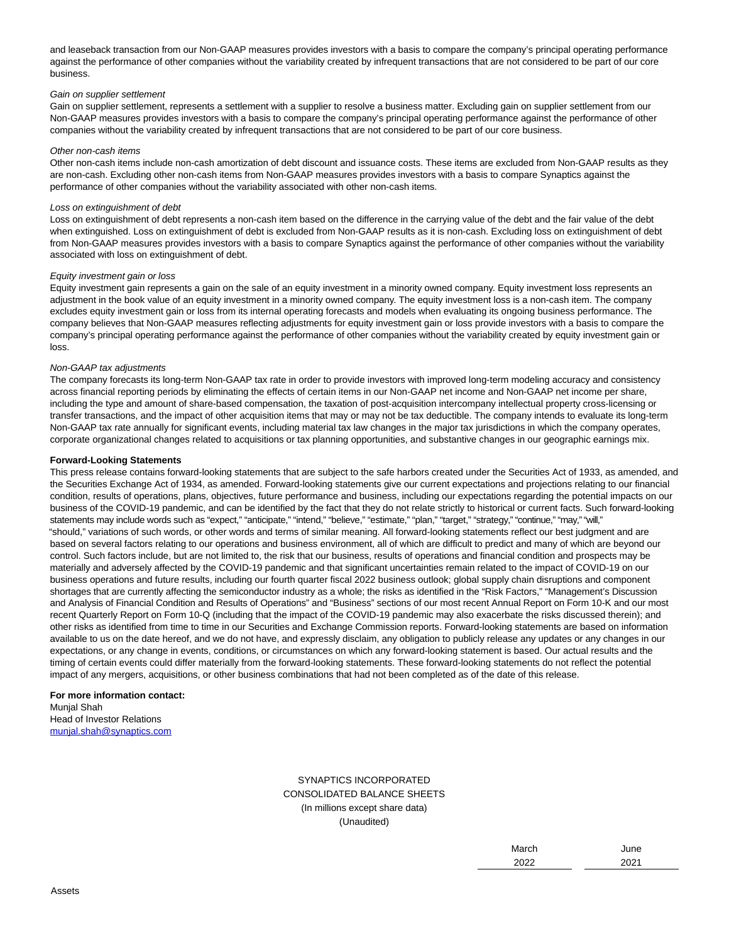and leaseback transaction from our Non-GAAP measures provides investors with a basis to compare the company's principal operating performance against the performance of other companies without the variability created by infrequent transactions that are not considered to be part of our core business.

#### Gain on supplier settlement

Gain on supplier settlement, represents a settlement with a supplier to resolve a business matter. Excluding gain on supplier settlement from our Non-GAAP measures provides investors with a basis to compare the company's principal operating performance against the performance of other companies without the variability created by infrequent transactions that are not considered to be part of our core business.

#### Other non-cash items

Other non-cash items include non-cash amortization of debt discount and issuance costs. These items are excluded from Non-GAAP results as they are non-cash. Excluding other non-cash items from Non-GAAP measures provides investors with a basis to compare Synaptics against the performance of other companies without the variability associated with other non-cash items.

#### Loss on extinguishment of debt

Loss on extinguishment of debt represents a non-cash item based on the difference in the carrying value of the debt and the fair value of the debt when extinguished. Loss on extinguishment of debt is excluded from Non-GAAP results as it is non-cash. Excluding loss on extinguishment of debt from Non-GAAP measures provides investors with a basis to compare Synaptics against the performance of other companies without the variability associated with loss on extinguishment of debt.

#### Equity investment gain or loss

Equity investment gain represents a gain on the sale of an equity investment in a minority owned company. Equity investment loss represents an adjustment in the book value of an equity investment in a minority owned company. The equity investment loss is a non-cash item. The company excludes equity investment gain or loss from its internal operating forecasts and models when evaluating its ongoing business performance. The company believes that Non-GAAP measures reflecting adjustments for equity investment gain or loss provide investors with a basis to compare the company's principal operating performance against the performance of other companies without the variability created by equity investment gain or loss.

#### Non-GAAP tax adjustments

The company forecasts its long-term Non-GAAP tax rate in order to provide investors with improved long-term modeling accuracy and consistency across financial reporting periods by eliminating the effects of certain items in our Non-GAAP net income and Non-GAAP net income per share, including the type and amount of share-based compensation, the taxation of post-acquisition intercompany intellectual property cross-licensing or transfer transactions, and the impact of other acquisition items that may or may not be tax deductible. The company intends to evaluate its long-term Non-GAAP tax rate annually for significant events, including material tax law changes in the major tax jurisdictions in which the company operates, corporate organizational changes related to acquisitions or tax planning opportunities, and substantive changes in our geographic earnings mix.

#### **Forward-Looking Statements**

This press release contains forward-looking statements that are subject to the safe harbors created under the Securities Act of 1933, as amended, and the Securities Exchange Act of 1934, as amended. Forward-looking statements give our current expectations and projections relating to our financial condition, results of operations, plans, objectives, future performance and business, including our expectations regarding the potential impacts on our business of the COVID-19 pandemic, and can be identified by the fact that they do not relate strictly to historical or current facts. Such forward-looking statements may include words such as "expect," "anticipate," "intend," "believe," "estimate," "plan," "target," "strategy," "continue," "may," "will," "should," variations of such words, or other words and terms of similar meaning. All forward-looking statements reflect our best judgment and are based on several factors relating to our operations and business environment, all of which are difficult to predict and many of which are beyond our control. Such factors include, but are not limited to, the risk that our business, results of operations and financial condition and prospects may be materially and adversely affected by the COVID-19 pandemic and that significant uncertainties remain related to the impact of COVID-19 on our business operations and future results, including our fourth quarter fiscal 2022 business outlook; global supply chain disruptions and component shortages that are currently affecting the semiconductor industry as a whole; the risks as identified in the "Risk Factors," "Management's Discussion and Analysis of Financial Condition and Results of Operations" and "Business" sections of our most recent Annual Report on Form 10-K and our most recent Quarterly Report on Form 10-Q (including that the impact of the COVID-19 pandemic may also exacerbate the risks discussed therein); and other risks as identified from time to time in our Securities and Exchange Commission reports. Forward-looking statements are based on information available to us on the date hereof, and we do not have, and expressly disclaim, any obligation to publicly release any updates or any changes in our expectations, or any change in events, conditions, or circumstances on which any forward-looking statement is based. Our actual results and the timing of certain events could differ materially from the forward-looking statements. These forward-looking statements do not reflect the potential impact of any mergers, acquisitions, or other business combinations that had not been completed as of the date of this release.

#### **For more information contact:** Munjal Shah Head of Investor Relations [munjal.shah@synaptics.com](https://www.globenewswire.com/Tracker?data=brWt5S3fWgpPtyRr_jV3-Ao-7lgI1as_pM8uQrcr7lSrH7wW0vxW7cwhatHilAOKcjnQprExUOk1RwGuVxap_tdAFkorLrRVVzidpGVhvSk=)

## SYNAPTICS INCORPORATED CONSOLIDATED BALANCE SHEETS (In millions except share data) (Unaudited)

| March | June |
|-------|------|
| つへつつ  | 2021 |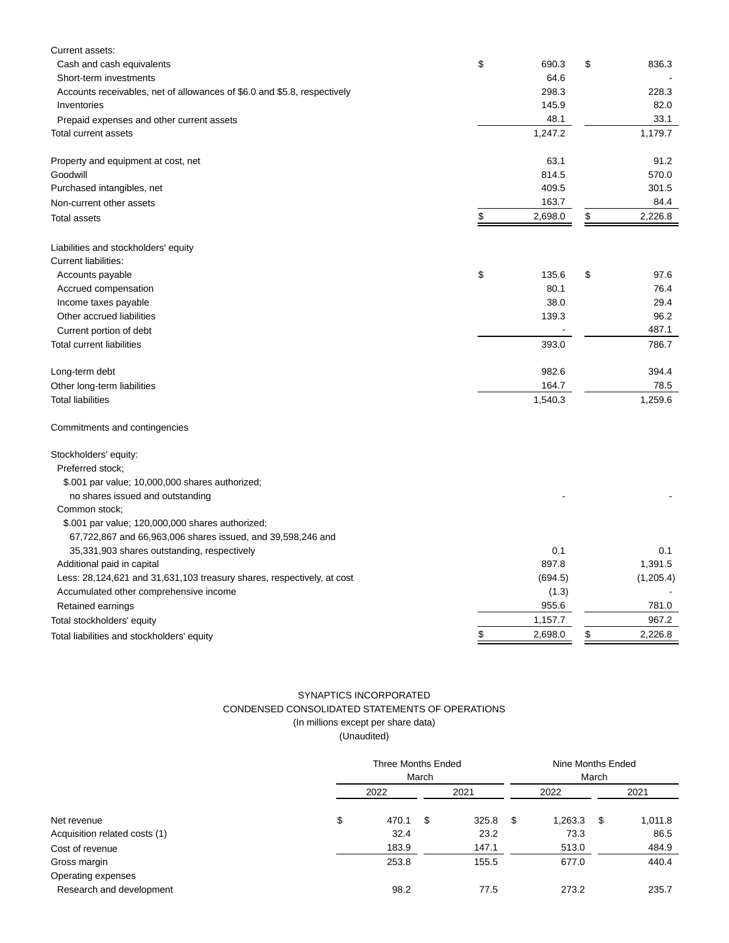| Current assets:                                                          |               |                |
|--------------------------------------------------------------------------|---------------|----------------|
| Cash and cash equivalents                                                | \$<br>690.3   | \$<br>836.3    |
| Short-term investments                                                   | 64.6          |                |
| Accounts receivables, net of allowances of \$6.0 and \$5.8, respectively | 298.3         | 228.3          |
| Inventories                                                              | 145.9         | 82.0           |
| Prepaid expenses and other current assets                                | 48.1          | 33.1           |
| Total current assets                                                     | 1,247.2       | 1,179.7        |
| Property and equipment at cost, net                                      | 63.1          | 91.2           |
| Goodwill                                                                 | 814.5         | 570.0          |
| Purchased intangibles, net                                               | 409.5         | 301.5          |
| Non-current other assets                                                 | 163.7         | 84.4           |
| <b>Total assets</b>                                                      | \$<br>2,698.0 | \$<br>2,226.8  |
| Liabilities and stockholders' equity                                     |               |                |
| <b>Current liabilities:</b>                                              |               |                |
| Accounts payable                                                         | \$<br>135.6   | \$<br>97.6     |
| Accrued compensation                                                     | 80.1          | 76.4           |
| Income taxes payable                                                     | 38.0          | 29.4           |
| Other accrued liabilities                                                | 139.3         | 96.2           |
| Current portion of debt                                                  |               | 487.1          |
| <b>Total current liabilities</b>                                         | 393.0         | 786.7          |
| Long-term debt                                                           | 982.6         | 394.4          |
| Other long-term liabilities                                              | 164.7         | 78.5           |
| <b>Total liabilities</b>                                                 | 1,540.3       | 1,259.6        |
| Commitments and contingencies                                            |               |                |
| Stockholders' equity:                                                    |               |                |
| Preferred stock;                                                         |               |                |
| \$.001 par value; 10,000,000 shares authorized;                          |               |                |
| no shares issued and outstanding                                         |               |                |
| Common stock;                                                            |               |                |
| \$.001 par value; 120,000,000 shares authorized;                         |               |                |
| 67,722,867 and 66,963,006 shares issued, and 39,598,246 and              |               |                |
| 35,331,903 shares outstanding, respectively                              | 0.1           | 0.1            |
| Additional paid in capital                                               | 897.8         | 1,391.5        |
| Less: 28,124,621 and 31,631,103 treasury shares, respectively, at cost   | (694.5)       | (1,205.4)      |
| Accumulated other comprehensive income                                   | (1.3)         |                |
| Retained earnings                                                        | 955.6         | 781.0<br>967.2 |
| Total stockholders' equity                                               | 1,157.7       |                |
| Total liabilities and stockholders' equity                               | \$<br>2,698.0 | \$<br>2,226.8  |

## SYNAPTICS INCORPORATED CONDENSED CONSOLIDATED STATEMENTS OF OPERATIONS (In millions except per share data) (Unaudited)

|                               | <b>Three Months Ended</b><br>March |       |   |       |   | Nine Months Ended |    |         |  |
|-------------------------------|------------------------------------|-------|---|-------|---|-------------------|----|---------|--|
|                               |                                    |       |   |       |   | March             |    |         |  |
|                               | 2022                               |       |   | 2021  |   | 2022              |    | 2021    |  |
|                               |                                    |       |   |       |   |                   |    |         |  |
| Net revenue                   | \$                                 | 470.1 | S | 325.8 | S | 1,263.3           | \$ | 1,011.8 |  |
| Acquisition related costs (1) |                                    | 32.4  |   | 23.2  |   | 73.3              |    | 86.5    |  |
| Cost of revenue               |                                    | 183.9 |   | 147.1 |   | 513.0             |    | 484.9   |  |
| Gross margin                  |                                    | 253.8 |   | 155.5 |   | 677.0             |    | 440.4   |  |
| Operating expenses            |                                    |       |   |       |   |                   |    |         |  |
| Research and development      |                                    | 98.2  |   | 77.5  |   | 273.2             |    | 235.7   |  |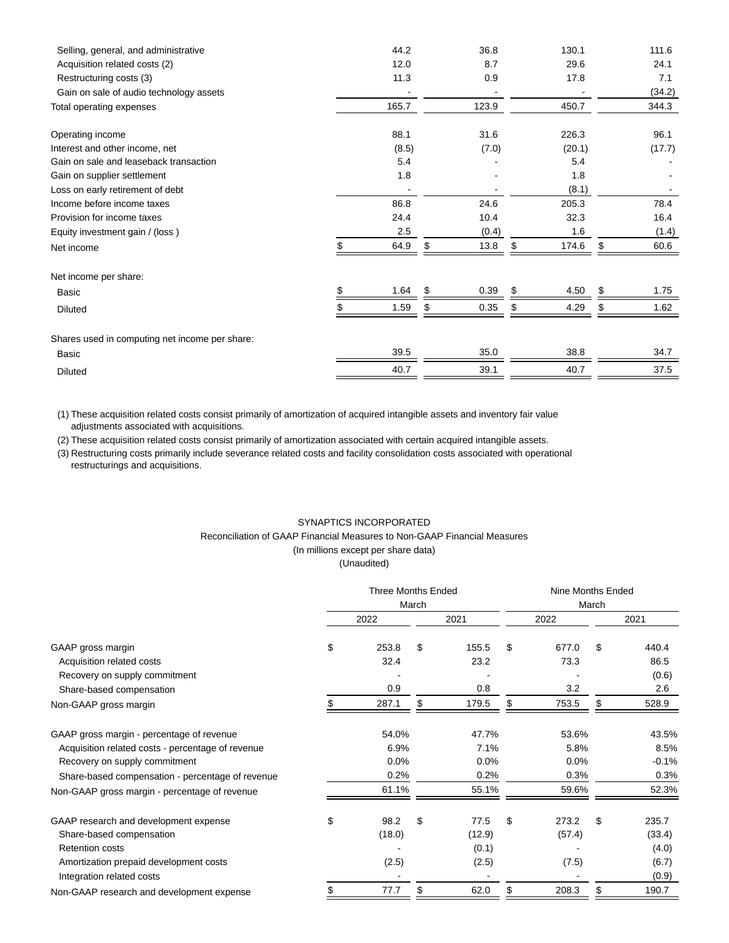| Selling, general, and administrative           | 44.2       | 36.8  |     | 130.1  | 111.6      |
|------------------------------------------------|------------|-------|-----|--------|------------|
| Acquisition related costs (2)                  | 12.0       | 8.7   |     | 29.6   | 24.1       |
| Restructuring costs (3)                        | 11.3       | 0.9   |     | 17.8   | 7.1        |
| Gain on sale of audio technology assets        |            |       |     |        | (34.2)     |
| Total operating expenses                       | 165.7      | 123.9 |     | 450.7  | 344.3      |
| Operating income                               | 88.1       | 31.6  |     | 226.3  | 96.1       |
| Interest and other income, net                 | (8.5)      | (7.0) |     | (20.1) | (17.7)     |
| Gain on sale and leaseback transaction         | 5.4        |       |     | 5.4    |            |
| Gain on supplier settlement                    | 1.8        |       |     | 1.8    |            |
| Loss on early retirement of debt               |            |       |     | (8.1)  |            |
| Income before income taxes                     | 86.8       | 24.6  |     | 205.3  | 78.4       |
| Provision for income taxes                     | 24.4       | 10.4  |     | 32.3   | 16.4       |
| Equity investment gain / (loss)                | 2.5        | (0.4) |     | 1.6    | (1.4)      |
| Net income                                     | \$<br>64.9 | 13.8  | \$. | 174.6  | \$<br>60.6 |
| Net income per share:                          |            |       |     |        |            |
| Basic                                          | \$<br>1.64 | 0.39  |     | 4.50   | 1.75       |
| <b>Diluted</b>                                 | \$<br>1.59 | 0.35  | S   | 4.29   | 1.62       |
| Shares used in computing net income per share: |            |       |     |        |            |
| Basic                                          | 39.5       | 35.0  |     | 38.8   | 34.7       |
| <b>Diluted</b>                                 | 40.7       | 39.1  |     | 40.7   | 37.5       |

(1) These acquisition related costs consist primarily of amortization of acquired intangible assets and inventory fair value adjustments associated with acquisitions.

(2) These acquisition related costs consist primarily of amortization associated with certain acquired intangible assets.

(3) Restructuring costs primarily include severance related costs and facility consolidation costs associated with operational restructurings and acquisitions.

## SYNAPTICS INCORPORATED

## Reconciliation of GAAP Financial Measures to Non-GAAP Financial Measures

(In millions except per share data)

## (Unaudited)

|                                                   | <b>Three Months Ended</b> |        |    |        |    | Nine Months Ended |    |         |  |  |
|---------------------------------------------------|---------------------------|--------|----|--------|----|-------------------|----|---------|--|--|
|                                                   | March                     |        |    |        |    | March             |    |         |  |  |
|                                                   |                           | 2022   |    | 2021   |    | 2022              |    | 2021    |  |  |
| GAAP gross margin                                 | \$                        | 253.8  | \$ | 155.5  | \$ | 677.0             | \$ | 440.4   |  |  |
| Acquisition related costs                         |                           | 32.4   |    | 23.2   |    | 73.3              |    | 86.5    |  |  |
| Recovery on supply commitment                     |                           |        |    |        |    |                   |    | (0.6)   |  |  |
| Share-based compensation                          |                           | 0.9    |    | 0.8    |    | 3.2               |    | 2.6     |  |  |
| Non-GAAP gross margin                             |                           | 287.1  | \$ | 179.5  | \$ | 753.5             | \$ | 528.9   |  |  |
| GAAP gross margin - percentage of revenue         |                           | 54.0%  |    | 47.7%  |    | 53.6%             |    | 43.5%   |  |  |
| Acquisition related costs - percentage of revenue |                           | 6.9%   |    | 7.1%   |    | 5.8%              |    | 8.5%    |  |  |
| Recovery on supply commitment                     |                           | 0.0%   |    | 0.0%   |    | 0.0%              |    | $-0.1%$ |  |  |
| Share-based compensation - percentage of revenue  |                           | 0.2%   |    | 0.2%   |    | 0.3%              |    | 0.3%    |  |  |
| Non-GAAP gross margin - percentage of revenue     |                           | 61.1%  |    | 55.1%  |    | 59.6%             |    | 52.3%   |  |  |
| GAAP research and development expense             | \$                        | 98.2   | \$ | 77.5   | \$ | 273.2             | \$ | 235.7   |  |  |
| Share-based compensation                          |                           | (18.0) |    | (12.9) |    | (57.4)            |    | (33.4)  |  |  |
| <b>Retention costs</b>                            |                           |        |    | (0.1)  |    |                   |    | (4.0)   |  |  |
| Amortization prepaid development costs            |                           | (2.5)  |    | (2.5)  |    | (7.5)             |    | (6.7)   |  |  |
| Integration related costs                         |                           |        |    |        |    |                   |    | (0.9)   |  |  |
| Non-GAAP research and development expense         |                           | 77.7   | \$ | 62.0   | S  | 208.3             | \$ | 190.7   |  |  |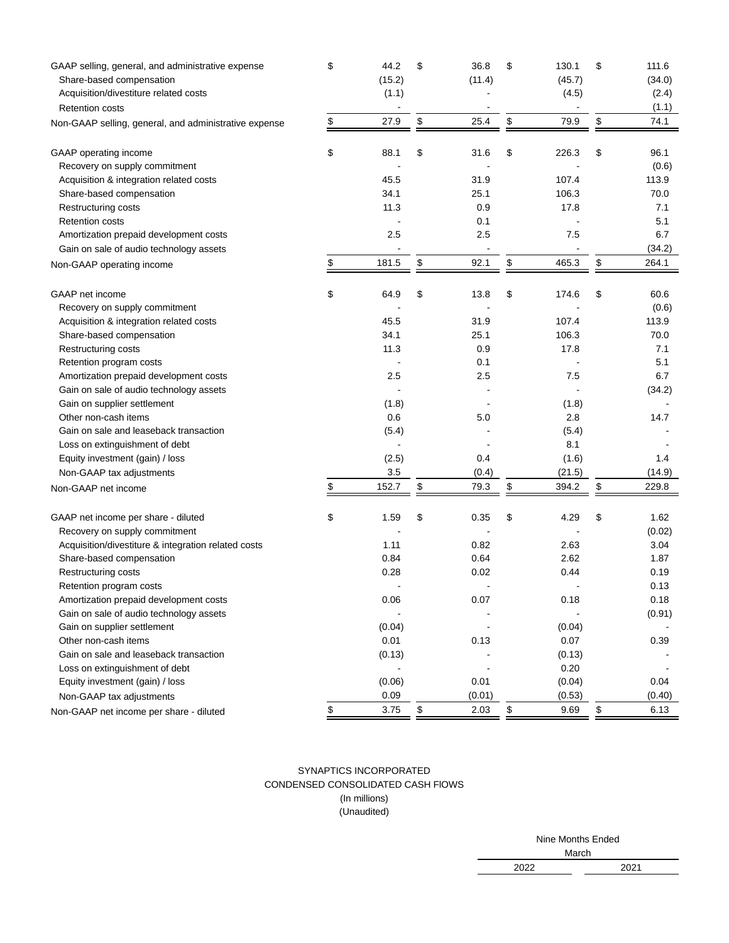| GAAP selling, general, and administrative expense     | \$<br>44.2     | \$            | 36.8   | \$<br>130.1 | \$<br>111.6 |
|-------------------------------------------------------|----------------|---------------|--------|-------------|-------------|
| Share-based compensation                              | (15.2)         |               | (11.4) | (45.7)      | (34.0)      |
| Acquisition/divestiture related costs                 | (1.1)          |               |        | (4.5)       | (2.4)       |
| <b>Retention costs</b>                                |                |               |        |             | (1.1)       |
| Non-GAAP selling, general, and administrative expense | \$<br>27.9     | $\frac{1}{2}$ | 25.4   | \$<br>79.9  | \$<br>74.1  |
| GAAP operating income                                 | \$<br>88.1     | \$            | 31.6   | \$<br>226.3 | \$<br>96.1  |
| Recovery on supply commitment                         |                |               |        |             | (0.6)       |
| Acquisition & integration related costs               | 45.5           |               | 31.9   | 107.4       | 113.9       |
| Share-based compensation                              | 34.1           |               | 25.1   | 106.3       | 70.0        |
| Restructuring costs                                   | 11.3           |               | 0.9    | 17.8        | 7.1         |
| <b>Retention costs</b>                                |                |               | 0.1    |             | 5.1         |
| Amortization prepaid development costs                | 2.5            |               | 2.5    | 7.5         | 6.7         |
| Gain on sale of audio technology assets               |                |               |        |             | (34.2)      |
| Non-GAAP operating income                             | \$<br>181.5    | \$            | 92.1   | \$<br>465.3 | \$<br>264.1 |
| GAAP net income                                       | \$<br>64.9     | \$            | 13.8   | \$<br>174.6 | \$<br>60.6  |
| Recovery on supply commitment                         |                |               |        |             | (0.6)       |
| Acquisition & integration related costs               | 45.5           |               | 31.9   | 107.4       | 113.9       |
| Share-based compensation                              | 34.1           |               | 25.1   | 106.3       | 70.0        |
| Restructuring costs                                   | 11.3           |               | 0.9    | 17.8        | 7.1         |
| Retention program costs                               |                |               | 0.1    |             | 5.1         |
| Amortization prepaid development costs                | 2.5            |               | 2.5    | 7.5         | 6.7         |
| Gain on sale of audio technology assets               |                |               |        |             | (34.2)      |
| Gain on supplier settlement                           | (1.8)          |               |        | (1.8)       |             |
| Other non-cash items                                  | 0.6            |               | 5.0    | 2.8         | 14.7        |
| Gain on sale and leaseback transaction                | (5.4)          |               |        | (5.4)       |             |
| Loss on extinguishment of debt                        | $\overline{a}$ |               |        | 8.1         |             |
| Equity investment (gain) / loss                       | (2.5)          |               | 0.4    | (1.6)       | 1.4         |
| Non-GAAP tax adjustments                              | 3.5            |               | (0.4)  | (21.5)      | (14.9)      |
| Non-GAAP net income                                   | \$<br>152.7    | \$            | 79.3   | \$<br>394.2 | \$<br>229.8 |
| GAAP net income per share - diluted                   | \$<br>1.59     | \$            | 0.35   | \$<br>4.29  | \$<br>1.62  |
| Recovery on supply commitment                         |                |               |        |             | (0.02)      |
| Acquisition/divestiture & integration related costs   | 1.11           |               | 0.82   | 2.63        | 3.04        |
| Share-based compensation                              | 0.84           |               | 0.64   | 2.62        | 1.87        |
| Restructuring costs                                   | 0.28           |               | 0.02   | 0.44        | 0.19        |
| Retention program costs                               |                |               |        |             | 0.13        |
| Amortization prepaid development costs                | 0.06           |               | 0.07   | 0.18        | 0.18        |
| Gain on sale of audio technology assets               |                |               |        |             | (0.91)      |
| Gain on supplier settlement                           | (0.04)         |               |        | (0.04)      |             |
| Other non-cash items                                  | 0.01           |               | 0.13   | 0.07        | 0.39        |
| Gain on sale and leaseback transaction                | (0.13)         |               |        | (0.13)      |             |
| Loss on extinguishment of debt                        |                |               |        | 0.20        |             |
| Equity investment (gain) / loss                       | (0.06)         |               | 0.01   | (0.04)      | 0.04        |
| Non-GAAP tax adjustments                              | 0.09           |               | (0.01) | (0.53)      | (0.40)      |
| Non-GAAP net income per share - diluted               | \$<br>3.75     | \$            | 2.03   | \$<br>9.69  | \$<br>6.13  |

## SYNAPTICS INCORPORATED CONDENSED CONSOLIDATED CASH FlOWS (In millions) (Unaudited)

Nine Months Ended March 2022 2021